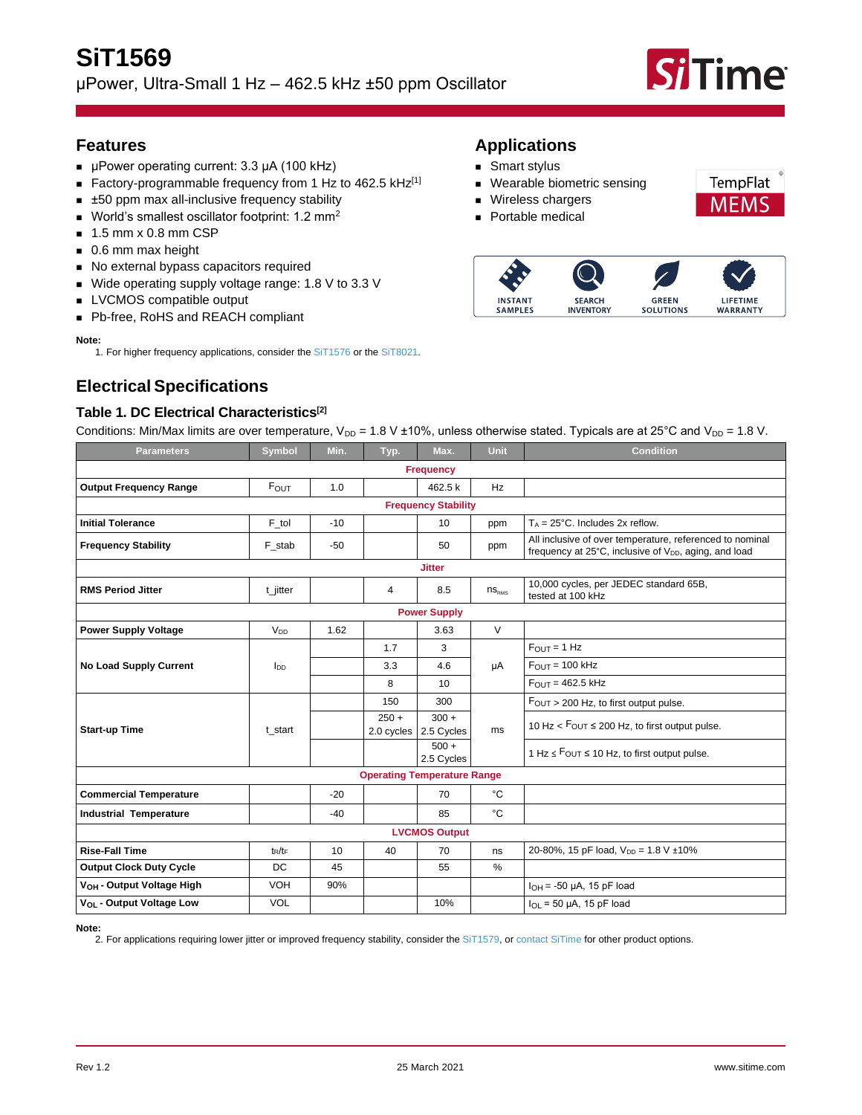

**TempFlat** MFM

LIFETIME

**WARRANTY** 

#### **Features**

- µPower operating current: 3.3 µA (100 kHz)
- Factory-programmable frequency from 1 Hz to 462.5 kHz<sup>[\[1\]](#page-0-0)</sup>
- ±50 ppm max all-inclusive frequency stability
- $\blacksquare$  World's smallest oscillator footprint: 1.2 mm<sup>2</sup>
- 1.5 mm x 0.8 mm CSP
- 0.6 mm max height
- No external bypass capacitors required
- Wide operating supply voltage range: 1.8 V to 3.3 V
- LVCMOS compatible output
- Pb-free, RoHS and REACH compliant

#### <span id="page-0-0"></span>**Note:**

1. For higher frequency applications, consider th[e SiT1576](https://www.sitime.com/products/1-hz-to-2-mhz-ocsillators-tcxo/sit1576) or the [SiT8021.](https://www.sitime.com/products/upower-oscillators/sit8021-mhz)

# **Electrical Specifications**

#### <span id="page-0-2"></span>**Table 1. DC Electrical Characteristics[\[2\]](#page-0-1)**

Conditions: Min/Max limits are over temperature,  $V_{DD} = 1.8 V \pm 10\%$ , unless otherwise stated. Typicals are at 25°C and  $V_{DD} = 1.8 V$ .

**Applications** ■ Smart stylus

■ Wireless chargers ■ Portable medical

**INSTANT** 

**SAMPLES** 

■ Wearable biometric sensing

**SEARCH** 

**INVENTORY** 

**GREEN** 

**SOLUTIONS** 

| <b>Parameters</b>                     | Symbol          | Min.  | Typ.                  | Max.                  | Unit         | <b>Condition</b>                                                                                                              |  |
|---------------------------------------|-----------------|-------|-----------------------|-----------------------|--------------|-------------------------------------------------------------------------------------------------------------------------------|--|
| <b>Frequency</b>                      |                 |       |                       |                       |              |                                                                                                                               |  |
| <b>Output Frequency Range</b>         | $F_{OUT}$       | 1.0   |                       | 462.5 k               | Hz           |                                                                                                                               |  |
| <b>Frequency Stability</b>            |                 |       |                       |                       |              |                                                                                                                               |  |
| <b>Initial Tolerance</b>              | F_tol           | $-10$ |                       | 10                    | ppm          | $T_A = 25^{\circ}$ C. Includes 2x reflow.                                                                                     |  |
| <b>Frequency Stability</b>            | F_stab          | $-50$ |                       | 50                    | ppm          | All inclusive of over temperature, referenced to nominal<br>frequency at 25°C, inclusive of V <sub>DD</sub> , aging, and load |  |
| <b>Jitter</b>                         |                 |       |                       |                       |              |                                                                                                                               |  |
| <b>RMS Period Jitter</b>              | t_jitter        |       | 4                     | 8.5                   | $ns_{RMS}$   | 10,000 cycles, per JEDEC standard 65B,<br>tested at 100 kHz                                                                   |  |
| <b>Power Supply</b>                   |                 |       |                       |                       |              |                                                                                                                               |  |
| <b>Power Supply Voltage</b>           | V <sub>DD</sub> | 1.62  |                       | 3.63                  | $\vee$       |                                                                                                                               |  |
|                                       |                 |       | 1.7                   | 3                     | μA           | $FOUT = 1 Hz$                                                                                                                 |  |
| <b>No Load Supply Current</b>         | l <sub>DD</sub> |       | 3.3                   | 4.6                   |              | $FOUT = 100 kHz$                                                                                                              |  |
|                                       |                 |       | 8                     | 10                    |              | $FOlIT = 462.5$ kHz                                                                                                           |  |
|                                       | t start         |       | 150                   | 300                   | ms           | $F_{\text{OUT}} > 200$ Hz, to first output pulse.                                                                             |  |
| <b>Start-up Time</b>                  |                 |       | $250 +$<br>2.0 cycles | $300 +$<br>2.5 Cycles |              | 10 Hz $<$ Fout $\leq$ 200 Hz, to first output pulse.                                                                          |  |
|                                       |                 |       |                       | $500 +$<br>2.5 Cycles |              | 1 Hz $\leq$ Four $\leq$ 10 Hz, to first output pulse.                                                                         |  |
| <b>Operating Temperature Range</b>    |                 |       |                       |                       |              |                                                                                                                               |  |
| <b>Commercial Temperature</b>         |                 | $-20$ |                       | 70                    | $^{\circ}$ C |                                                                                                                               |  |
| <b>Industrial Temperature</b>         |                 | $-40$ |                       | 85                    | °C           |                                                                                                                               |  |
|                                       |                 |       |                       | <b>LVCMOS Output</b>  |              |                                                                                                                               |  |
| <b>Rise-Fall Time</b>                 | $t_R/t_F$       | 10    | 40                    | 70                    | ns           | 20-80%, 15 pF load, $V_{DD} = 1.8 V \pm 10\%$                                                                                 |  |
| <b>Output Clock Duty Cycle</b>        | DC              | 45    |                       | 55                    | %            |                                                                                                                               |  |
| V <sub>OH</sub> - Output Voltage High | VOH             | 90%   |                       |                       |              | $I_{OH} = -50 \mu A$ , 15 pF load                                                                                             |  |
| V <sub>OL</sub> - Output Voltage Low  | <b>VOL</b>      |       |                       | 10%                   |              | $I_{\Omega}$ = 50 µA, 15 pF load                                                                                              |  |

<span id="page-0-1"></span>**Note:**

2. For applications requiring lower jitter or improved frequency stability, consider the [SiT1579,](https://www.sitime.com/products/1-hz-to-2-mhz-ocsillators-tcxo/sit1579) or [contact SiTime](https://www.sitime.com/contact-us) for other product options.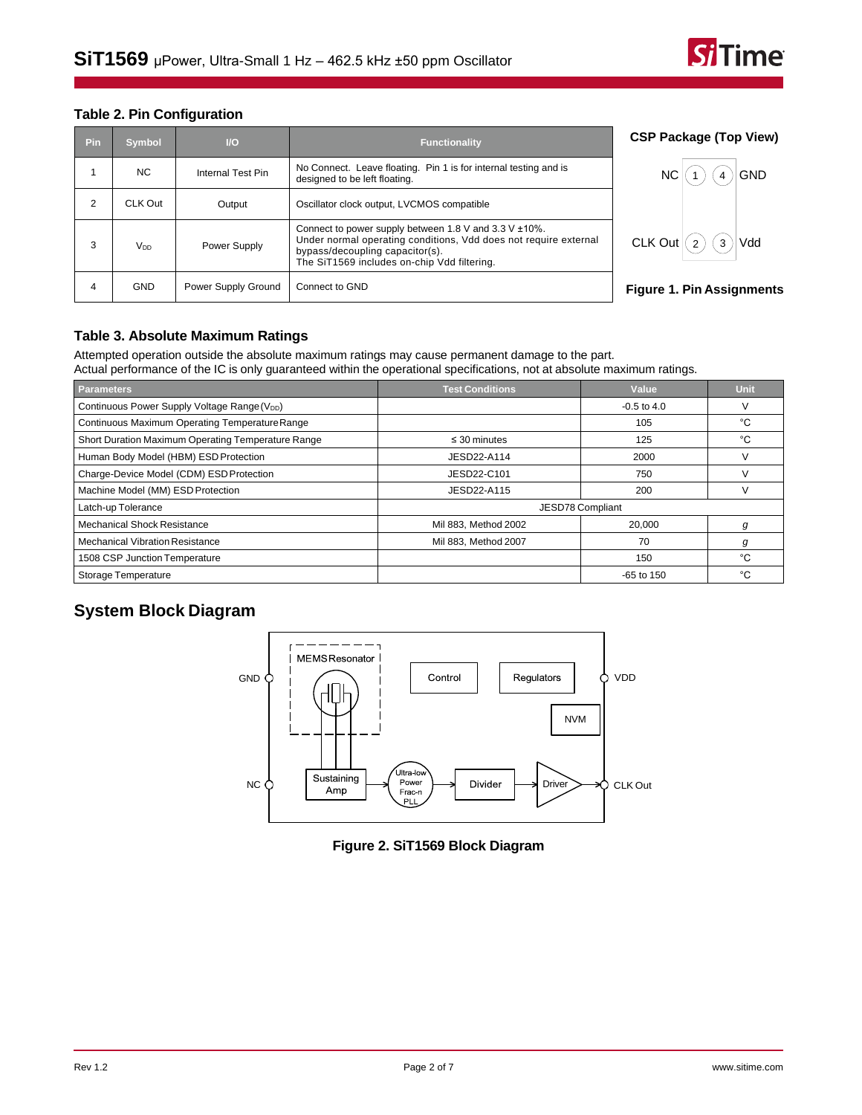

#### **Table 2. Pin Configuration**

| Pin | <b>Symbol</b>   | $U$                 | <b>Functionality</b>                                                                                                                                                                                             | <b>CSP Package (Top View)</b>    |
|-----|-----------------|---------------------|------------------------------------------------------------------------------------------------------------------------------------------------------------------------------------------------------------------|----------------------------------|
|     | NC.             | Internal Test Pin   | No Connect. Leave floating. Pin 1 is for internal testing and is<br>designed to be left floating.                                                                                                                | <b>GND</b><br><b>NC</b>          |
| 2   | CLK Out         | Output              | Oscillator clock output, LVCMOS compatible                                                                                                                                                                       |                                  |
| 3   | V <sub>DD</sub> | Power Supply        | Connect to power supply between 1.8 V and 3.3 V $\pm$ 10%.<br>Under normal operating conditions, Vdd does not require external<br>bypass/decoupling capacitor(s).<br>The SiT1569 includes on-chip Vdd filtering. | $CLK$ Out<br>Vdd<br>$\Omega$     |
| 4   | <b>GND</b>      | Power Supply Ground | Connect to GND                                                                                                                                                                                                   | <b>Figure 1. Pin Assignments</b> |

#### **Table 3. Absolute Maximum Ratings**

Attempted operation outside the absolute maximum ratings may cause permanent damage to the part. Actual performance of the IC is only guaranteed within the operational specifications, not at absolute maximum ratings.

| <b>Parameters</b>                                        | <b>Test Conditions</b> | Value            | Unit |
|----------------------------------------------------------|------------------------|------------------|------|
| Continuous Power Supply Voltage Range (V <sub>DD</sub> ) |                        | $-0.5$ to 4.0    | ν    |
| Continuous Maximum Operating Temperature Range           |                        | 105              | °C   |
| Short Duration Maximum Operating Temperature Range       | $\leq$ 30 minutes      | 125              | °C   |
| Human Body Model (HBM) ESD Protection                    | JESD22-A114            | 2000             |      |
| Charge-Device Model (CDM) ESD Protection                 | JESD22-C101            | 750              |      |
| Machine Model (MM) ESD Protection                        | JESD22-A115            | 200              |      |
| Latch-up Tolerance                                       |                        | JESD78 Compliant |      |
| <b>Mechanical Shock Resistance</b>                       | Mil 883, Method 2002   | 20,000           | g    |
| <b>Mechanical Vibration Resistance</b>                   | Mil 883, Method 2007   | 70               | g    |
| 1508 CSP Junction Temperature                            |                        | 150              | °С   |
| Storage Temperature                                      |                        | $-65$ to 150     | °C   |

# **System Block Diagram**



#### **Figure 2. SiT1569 Block Diagram**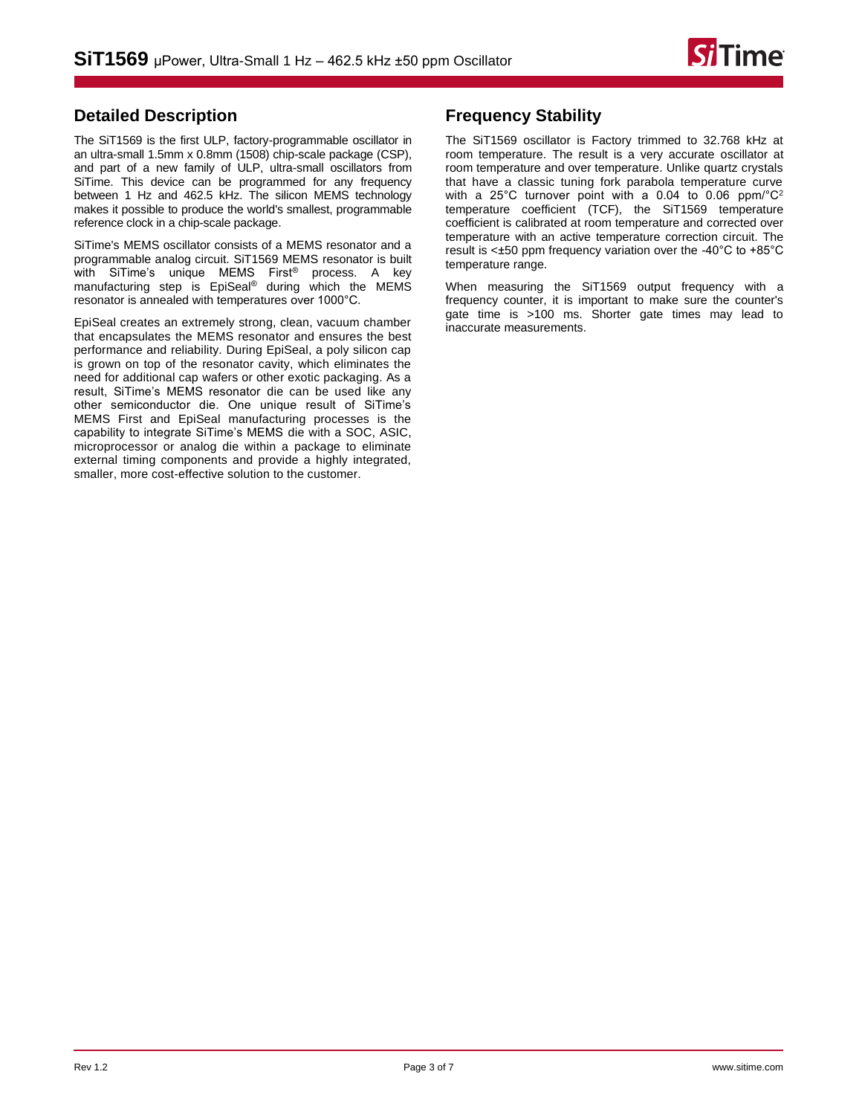

## **Detailed Description**

The SiT1569 is the first ULP, factory-programmable oscillator in an ultra-small 1.5mm x 0.8mm (1508) chip-scale package (CSP), and part of a new family of ULP, ultra-small oscillators from SiTime. This device can be programmed for any frequency between 1 Hz and 462.5 kHz. The silicon MEMS technology makes it possible to produce the world's smallest, programmable reference clock in a chip-scale package.

SiTime's MEMS oscillator consists of a MEMS resonator and a programmable analog circuit. SiT1569 MEMS resonator is built with SiTime's unique MEMS First<sup>®</sup> process. A key manufacturing step is EpiSeal® during which the MEMS resonator is annealed with temperatures over 1000°C.

EpiSeal creates an extremely strong, clean, vacuum chamber that encapsulates the MEMS resonator and ensures the best performance and reliability. During EpiSeal, a poly silicon cap is grown on top of the resonator cavity, which eliminates the need for additional cap wafers or other exotic packaging. As a result, SiTime's MEMS resonator die can be used like any other semiconductor die. One unique result of SiTime's MEMS First and EpiSeal manufacturing processes is the capability to integrate SiTime's MEMS die with a SOC, ASIC, microprocessor or analog die within a package to eliminate external timing components and provide a highly integrated, smaller, more cost-effective solution to the customer.

# **Frequency Stability**

The SiT1569 oscillator is Factory trimmed to 32.768 kHz at room temperature. The result is a very accurate oscillator at room temperature and over temperature. Unlike quartz crystals that have a classic tuning fork parabola temperature curve with a 25°C turnover point with a 0.04 to 0.06 ppm/°C<sup>2</sup> temperature coefficient (TCF), the SiT1569 temperature coefficient is calibrated at room temperature and corrected over temperature with an active temperature correction circuit. The result is <±50 ppm frequency variation over the -40°C to +85°C temperature range.

When measuring the SiT1569 output frequency with a frequency counter, it is important to make sure the counter's gate time is >100 ms. Shorter gate times may lead to inaccurate measurements.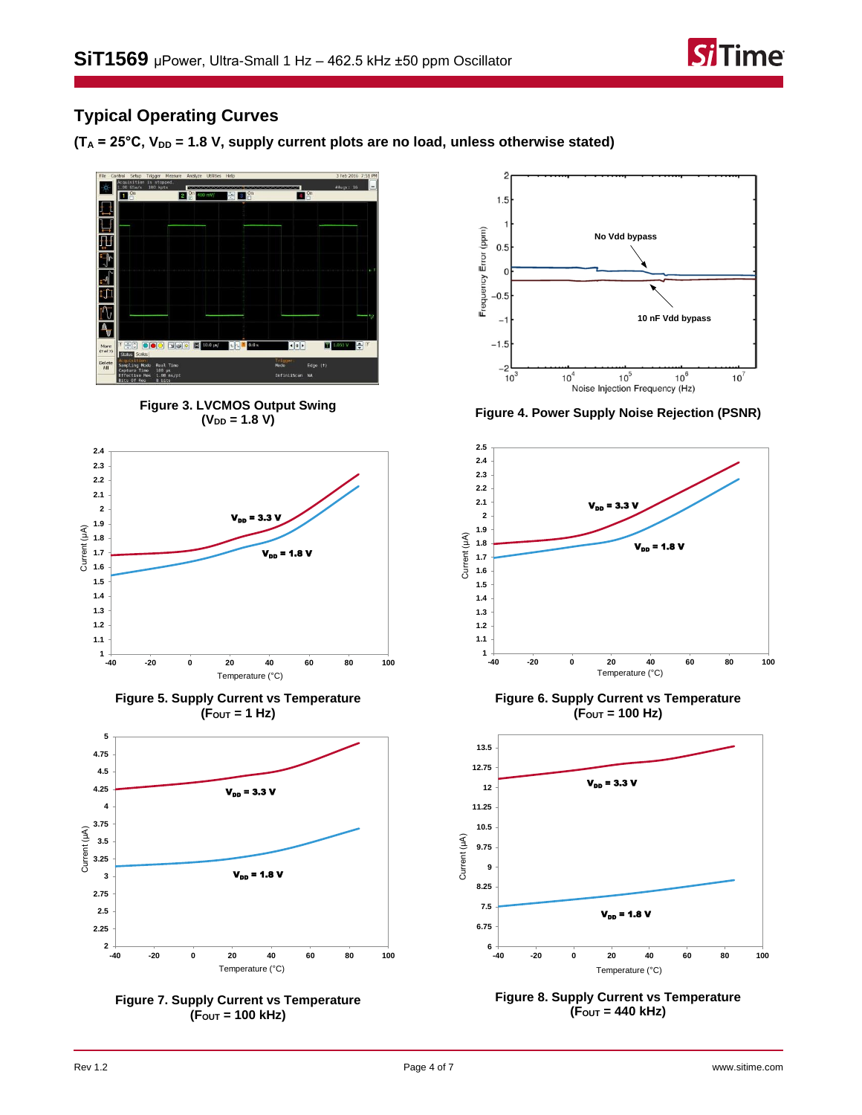

# **Typical Operating Curves**

 $(T_A = 25^{\circ}C, V_{DD} = 1.8 V,$  supply current plots are no load, unless otherwise stated)







**Figure 5. Supply Current vs Temperature (FOUT = 1 Hz)**







**(VDD = 1.8 V) Figure 4. Power Supply Noise Rejection (PSNR)**



**Figure 6. Supply Current vs Temperature (FOUT = 100 Hz)**



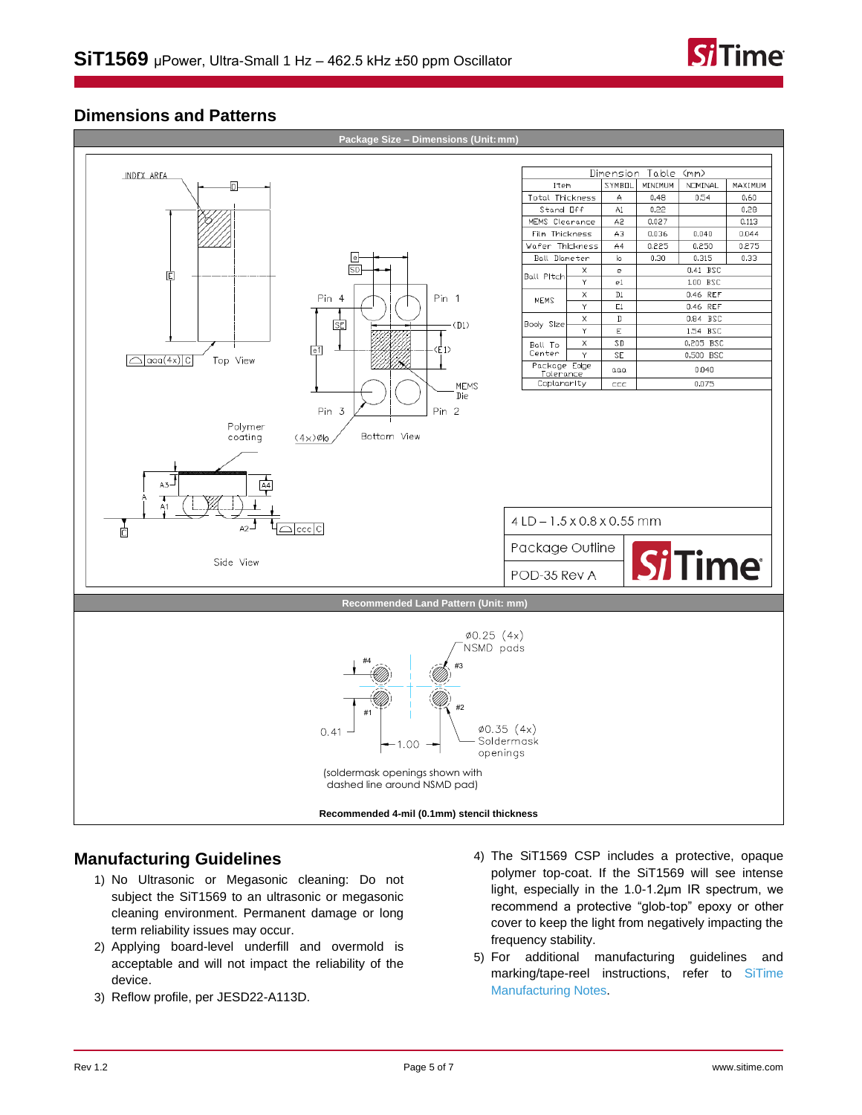

## **Dimensions and Patterns**



### **Manufacturing Guidelines**

- 1) No Ultrasonic or Megasonic cleaning: Do not subject the SiT1569 to an ultrasonic or megasonic cleaning environment. Permanent damage or long term reliability issues may occur.
- 2) Applying board-level underfill and overmold is acceptable and will not impact the reliability of the device.
- 3) Reflow profile, per JESD22-A113D.
- 4) The SiT1569 CSP includes a protective, opaque polymer top-coat. If the SiT1569 will see intense light, especially in the 1.0-1.2µm IR spectrum, we recommend a protective "glob-top" epoxy or other cover to keep the light from negatively impacting the frequency stability.
- 5) For additional manufacturing guidelines and marking/tape-reel instructions, refer to [SiTime](https://www.sitime.com/support/resource-library/manufacturing-notes-sitime-products)  [Manufacturing Notes.](https://www.sitime.com/support/resource-library/manufacturing-notes-sitime-products)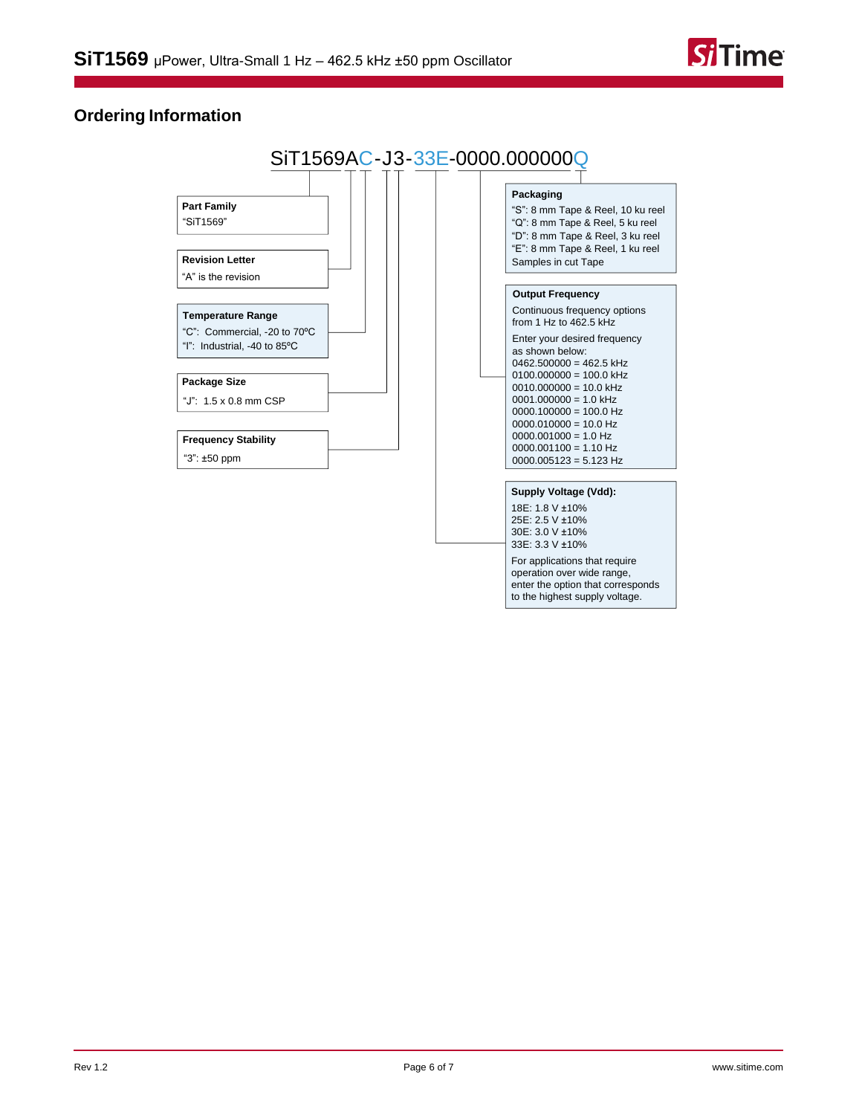

# **Ordering Information**



For applications that require operation over wide range, enter the option that corresponds to the highest supply voltage.